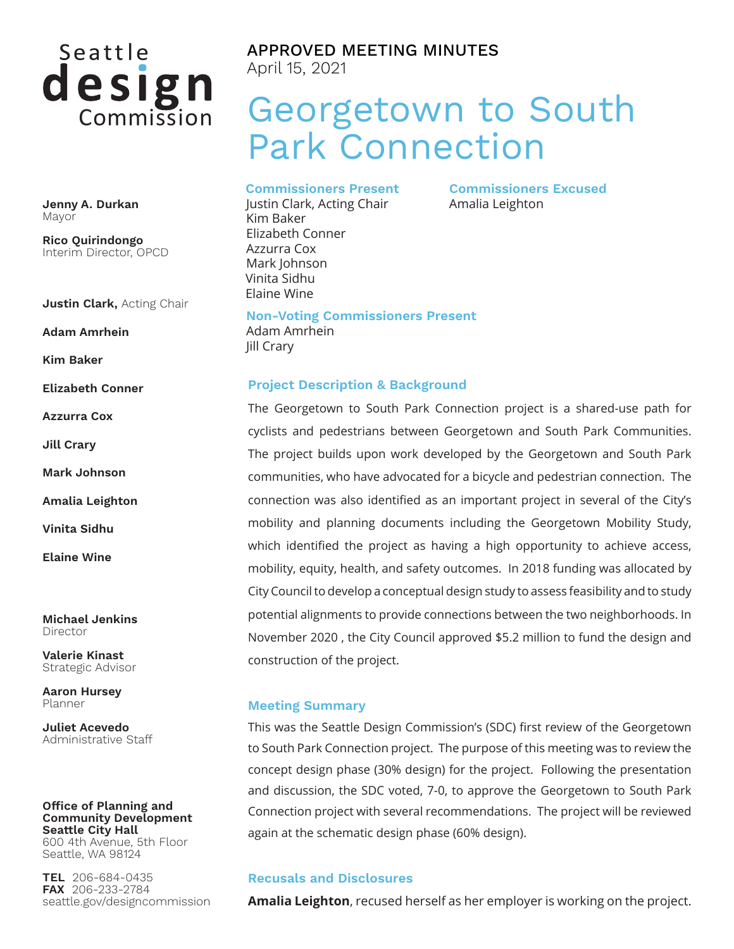# Seattle design

**Jenny A. Durkan** Mayor

**Rico Quirindongo** Interim Director, OPCD

**Justin Clark,** Acting Chair

**Adam Amrhein**

**Kim Baker**

**Elizabeth Conner**

**Azzurra Cox**

**Jill Crary**

**Mark Johnson**

**Amalia Leighton**

**Vinita Sidhu**

**Elaine Wine**

**Michael Jenkins** Director

**Valerie Kinast** Strategic Advisor

**Aaron Hursey** Planner

**Juliet Acevedo** Administrative Staff

#### **Office of Planning and Community Development Seattle City Hall** 600 4th Avenue, 5th Floor

Seattle, WA 98124

**TEL** 206-684-0435 **FAX** 206-233-2784 seattle.gov/designcommission

# APPROVED MEETING MINUTES April 15, 2021

# Georgetown to South Park Connection

**Commissioners Excused**

Amalia Leighton

**Commissioners Present**

Justin Clark, Acting Chair Kim Baker Elizabeth Conner Azzurra Cox Mark Johnson Vinita Sidhu Elaine Wine

**Non-Voting Commissioners Present** Adam Amrhein Jill Crary

#### **Project Description & Background**

The Georgetown to South Park Connection project is a shared-use path for cyclists and pedestrians between Georgetown and South Park Communities. The project builds upon work developed by the Georgetown and South Park communities, who have advocated for a bicycle and pedestrian connection. The connection was also identified as an important project in several of the City's mobility and planning documents including the Georgetown Mobility Study, which identified the project as having a high opportunity to achieve access, mobility, equity, health, and safety outcomes. In 2018 funding was allocated by City Council to develop a conceptual design study to assess feasibility and to study potential alignments to provide connections between the two neighborhoods. In November 2020 , the City Council approved \$5.2 million to fund the design and construction of the project.

#### **Meeting Summary**

This was the Seattle Design Commission's (SDC) first review of the Georgetown to South Park Connection project. The purpose of this meeting was to review the concept design phase (30% design) for the project. Following the presentation and discussion, the SDC voted, 7-0, to approve the Georgetown to South Park Connection project with several recommendations. The project will be reviewed again at the schematic design phase (60% design).

#### **Recusals and Disclosures**

**Amalia Leighton**, recused herself as her employer is working on the project.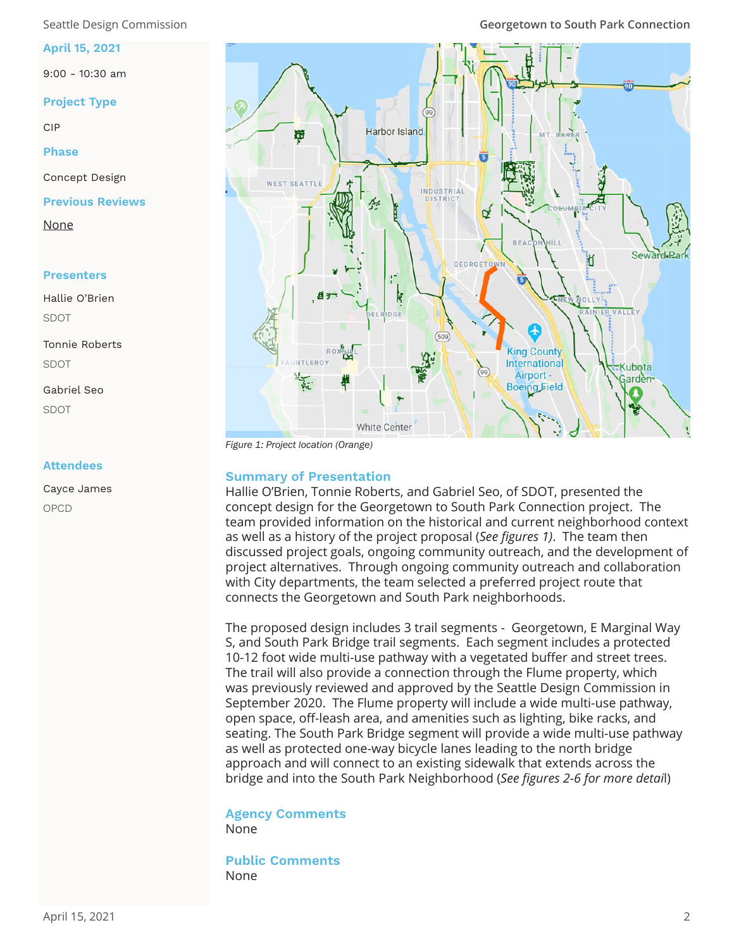#### **April 15, 2021**

9:00 - 10:30 am

#### **Project Type**

CIP

**Phase**

Concept Design

**Previous Reviews**

None

#### **Presenters**

Hallie O'Brien SDOT

Tonnie Roberts SDOT

Gabriel Seo SDOT

#### **Attendees**

Cayce James OPCD



*Figure 1: Project location (Orange)*

### **Summary of Presentation**

Hallie O'Brien, Tonnie Roberts, and Gabriel Seo, of SDOT, presented the concept design for the Georgetown to South Park Connection project. The team provided information on the historical and current neighborhood context as well as a history of the project proposal (*See figures 1)*. The team then discussed project goals, ongoing community outreach, and the development of project alternatives. Through ongoing community outreach and collaboration with City departments, the team selected a preferred project route that connects the Georgetown and South Park neighborhoods.

The proposed design includes 3 trail segments - Georgetown, E Marginal Way S, and South Park Bridge trail segments. Each segment includes a protected 10-12 foot wide multi-use pathway with a vegetated buffer and street trees. The trail will also provide a connection through the Flume property, which was previously reviewed and approved by the Seattle Design Commission in September 2020. The Flume property will include a wide multi-use pathway, open space, off-leash area, and amenities such as lighting, bike racks, and seating. The South Park Bridge segment will provide a wide multi-use pathway as well as protected one-way bicycle lanes leading to the north bridge approach and will connect to an existing sidewalk that extends across the bridge and into the South Park Neighborhood (*See figures 2-6 for more detai*l)

#### **Agency Comments**  None

**Public Comments**  None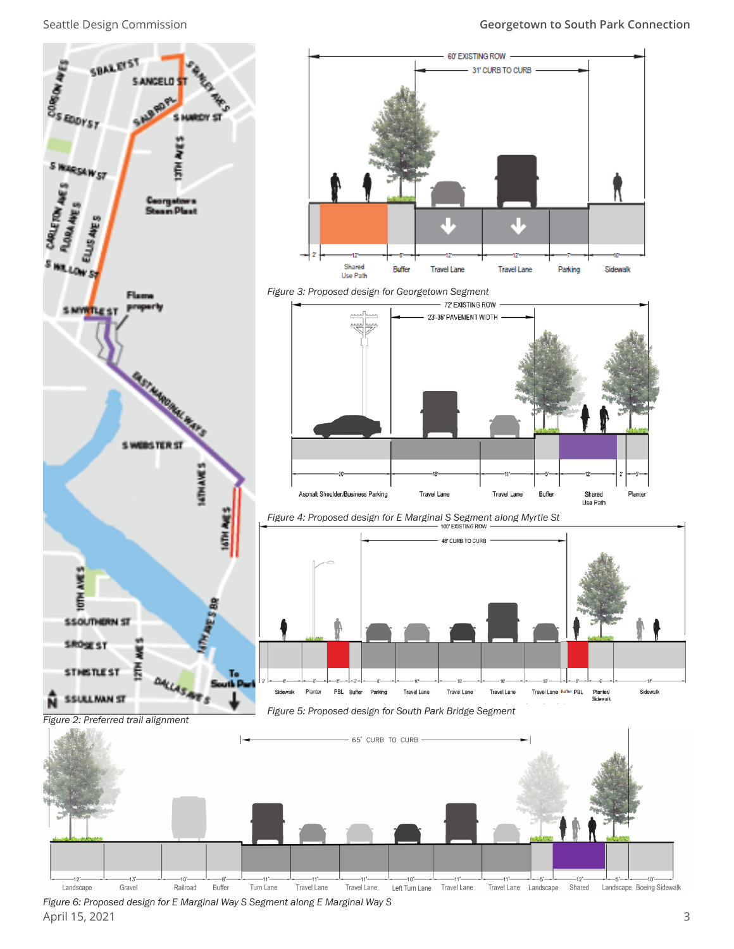

April 15, 2021 3 *Figure 6: Proposed design for E Marginal Way S Segment along E Marginal Way S*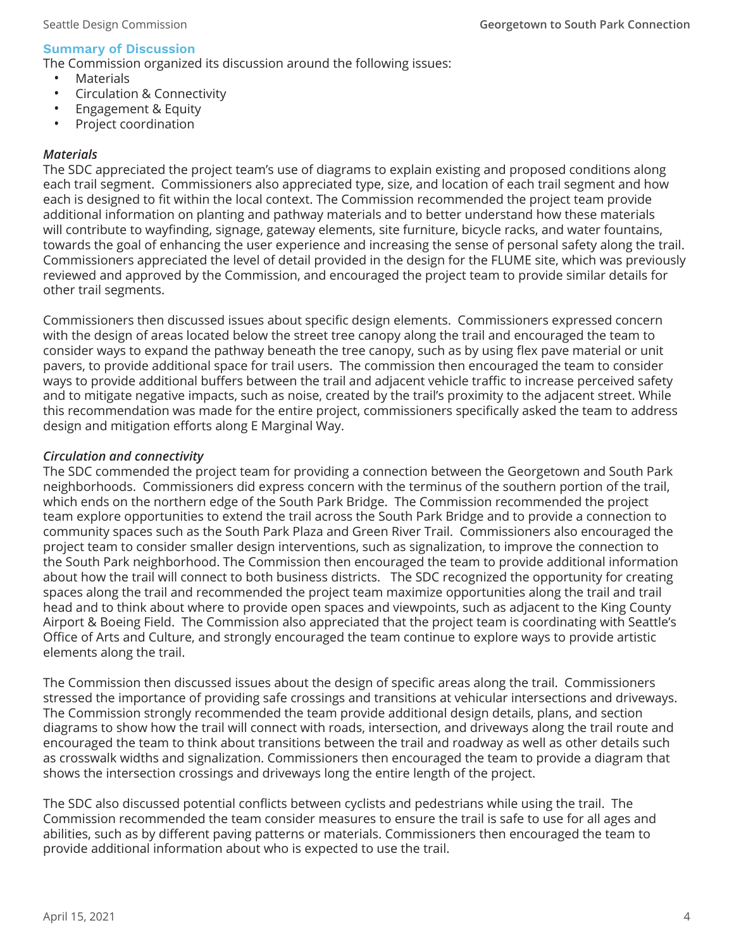# **Summary of Discussion**

The Commission organized its discussion around the following issues:

- **Materials**
- Circulation & Connectivity
- Engagement & Equity
- Project coordination

# *Materials*

The SDC appreciated the project team's use of diagrams to explain existing and proposed conditions along each trail segment. Commissioners also appreciated type, size, and location of each trail segment and how each is designed to fit within the local context. The Commission recommended the project team provide additional information on planting and pathway materials and to better understand how these materials will contribute to wayfinding, signage, gateway elements, site furniture, bicycle racks, and water fountains, towards the goal of enhancing the user experience and increasing the sense of personal safety along the trail. Commissioners appreciated the level of detail provided in the design for the FLUME site, which was previously reviewed and approved by the Commission, and encouraged the project team to provide similar details for other trail segments.

Commissioners then discussed issues about specific design elements. Commissioners expressed concern with the design of areas located below the street tree canopy along the trail and encouraged the team to consider ways to expand the pathway beneath the tree canopy, such as by using flex pave material or unit pavers, to provide additional space for trail users. The commission then encouraged the team to consider ways to provide additional buffers between the trail and adjacent vehicle traffic to increase perceived safety and to mitigate negative impacts, such as noise, created by the trail's proximity to the adjacent street. While this recommendation was made for the entire project, commissioners specifically asked the team to address design and mitigation efforts along E Marginal Way.

# *Circulation and connectivity*

The SDC commended the project team for providing a connection between the Georgetown and South Park neighborhoods. Commissioners did express concern with the terminus of the southern portion of the trail, which ends on the northern edge of the South Park Bridge. The Commission recommended the project team explore opportunities to extend the trail across the South Park Bridge and to provide a connection to community spaces such as the South Park Plaza and Green River Trail. Commissioners also encouraged the project team to consider smaller design interventions, such as signalization, to improve the connection to the South Park neighborhood. The Commission then encouraged the team to provide additional information about how the trail will connect to both business districts. The SDC recognized the opportunity for creating spaces along the trail and recommended the project team maximize opportunities along the trail and trail head and to think about where to provide open spaces and viewpoints, such as adjacent to the King County Airport & Boeing Field. The Commission also appreciated that the project team is coordinating with Seattle's Office of Arts and Culture, and strongly encouraged the team continue to explore ways to provide artistic elements along the trail.

The Commission then discussed issues about the design of specific areas along the trail. Commissioners stressed the importance of providing safe crossings and transitions at vehicular intersections and driveways. The Commission strongly recommended the team provide additional design details, plans, and section diagrams to show how the trail will connect with roads, intersection, and driveways along the trail route and encouraged the team to think about transitions between the trail and roadway as well as other details such as crosswalk widths and signalization. Commissioners then encouraged the team to provide a diagram that shows the intersection crossings and driveways long the entire length of the project.

The SDC also discussed potential conflicts between cyclists and pedestrians while using the trail. The Commission recommended the team consider measures to ensure the trail is safe to use for all ages and abilities, such as by different paving patterns or materials. Commissioners then encouraged the team to provide additional information about who is expected to use the trail.